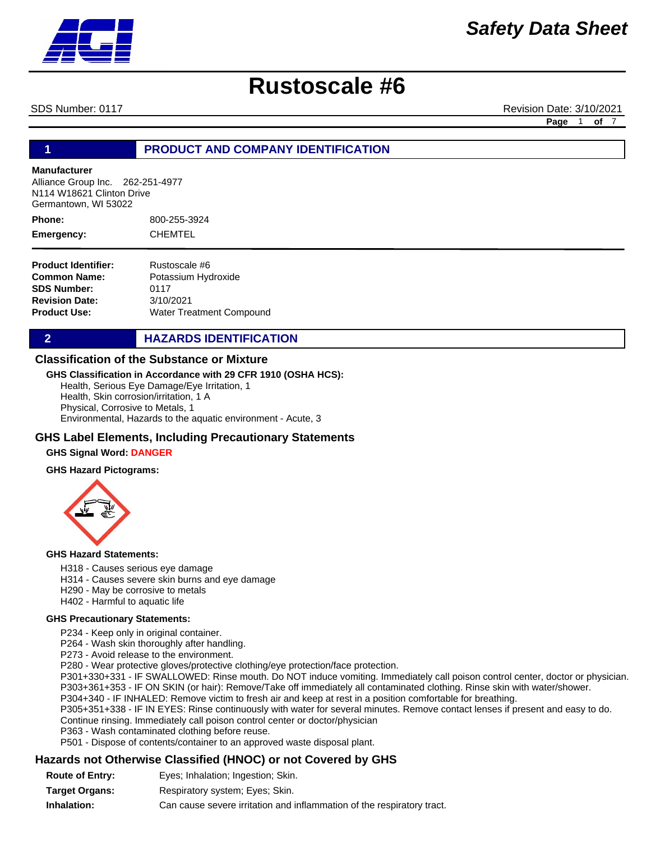

SDS Number: 0117 Revision Date: 3/10/2021

**Page** 1 **of** 7

## **1 PRODUCT AND COMPANY IDENTIFICATION**

#### **Manufacturer**

Alliance Group Inc. 262-251-4977 N114 W18621 Clinton Drive Germantown, WI 53022

800-255-3924 CHEMTEL **Phone: Emergency:**

**Product Identifier: Common Name: SDS Number: Revision Date: Product Use:** Rustoscale #6 Potassium Hydroxide 0117 3/10/2021 Water Treatment Compound

**2 HAZARDS IDENTIFICATION** 

#### **Classification of the Substance or Mixture**

#### **GHS Classification in Accordance with 29 CFR 1910 (OSHA HCS):**

Health, Serious Eye Damage/Eye Irritation, 1 Health, Skin corrosion/irritation, 1 A Physical, Corrosive to Metals, 1 Environmental, Hazards to the aquatic environment - Acute, 3

#### **GHS Label Elements, Including Precautionary Statements**

#### **GHS Signal Word: DANGER**

#### **GHS Hazard Pictograms:**



#### **GHS Hazard Statements:**

- H318 Causes serious eye damage
- H314 Causes severe skin burns and eye damage
- H290 May be corrosive to metals
- H402 Harmful to aquatic life

#### **GHS Precautionary Statements:**

P234 - Keep only in original container.

P264 - Wash skin thoroughly after handling.

P273 - Avoid release to the environment.

P280 - Wear protective gloves/protective clothing/eye protection/face protection.

P301+330+331 - IF SWALLOWED: Rinse mouth. Do NOT induce vomiting. Immediately call poison control center, doctor or physician. P303+361+353 - IF ON SKIN (or hair): Remove/Take off immediately all contaminated clothing. Rinse skin with water/shower.

P304+340 - IF INHALED: Remove victim to fresh air and keep at rest in a position comfortable for breathing.

P305+351+338 - IF IN EYES: Rinse continuously with water for several minutes. Remove contact lenses if present and easy to do. Continue rinsing. Immediately call poison control center or doctor/physician

P363 - Wash contaminated clothing before reuse.

P501 - Dispose of contents/container to an approved waste disposal plant.

### **Hazards not Otherwise Classified (HNOC) or not Covered by GHS**

| <b>Route of Entry:</b> | Eyes; Inhalation; Ingestion; Skin.                                     |
|------------------------|------------------------------------------------------------------------|
| Tarqet Orqans:         | Respiratory system; Eyes; Skin.                                        |
| Inhalation:            | Can cause severe irritation and inflammation of the respiratory tract. |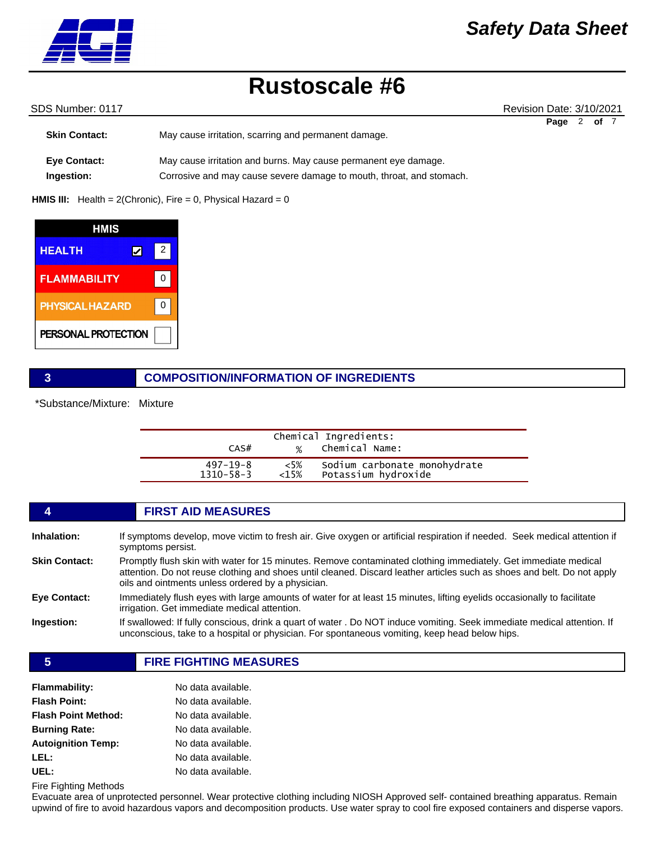

SDS Number: 0117 Revision Date: 3/10/2021 **Page** 2 **of** 7

| <b>Skin Contact:</b> | May cause irritation, scarring and permanent damage.                 |  |
|----------------------|----------------------------------------------------------------------|--|
| <b>Eye Contact:</b>  | May cause irritation and burns. May cause permanent eye damage.      |  |
| Ingestion:           | Corrosive and may cause severe damage to mouth, throat, and stomach. |  |

#### **HMIS III:** Health = 2(Chronic), Fire = 0, Physical Hazard = 0

| HMIS                   |   |  |
|------------------------|---|--|
| <b>HEALTH</b>          | 2 |  |
| <b>FLAMMABILITY</b>    |   |  |
| <b>PHYSICAL HAZARD</b> |   |  |
| PERSONAL PROTECTION    |   |  |

## **3 COMPOSITION/INFORMATION OF INGREDIENTS**

\*Substance/Mixture: Mixture

| CAS#            | $\frac{1}{2}$ | Chemical Ingredients:<br>Chemical Name: |  |
|-----------------|---------------|-----------------------------------------|--|
| 497–19–8        | $<5\%$        | Sodium carbonate monohydrate            |  |
| $1310 - 58 - 3$ | $<$ 15%       | Potassium hydroxide                     |  |

|                      | <b>FIRST AID MEASURES</b>                                                                                                                                                                                                                                                                      |
|----------------------|------------------------------------------------------------------------------------------------------------------------------------------------------------------------------------------------------------------------------------------------------------------------------------------------|
| Inhalation:          | If symptoms develop, move victim to fresh air. Give oxygen or artificial respiration if needed. Seek medical attention if<br>symptoms persist.                                                                                                                                                 |
| <b>Skin Contact:</b> | Promptly flush skin with water for 15 minutes. Remove contaminated clothing immediately. Get immediate medical<br>attention. Do not reuse clothing and shoes until cleaned. Discard leather articles such as shoes and belt. Do not apply<br>oils and ointments unless ordered by a physician. |
| Eye Contact:         | Immediately flush eyes with large amounts of water for at least 15 minutes, lifting eyelids occasionally to facilitate<br>irrigation. Get immediate medical attention.                                                                                                                         |
| Ingestion:           | If swallowed: If fully conscious, drink a quart of water . Do NOT induce vomiting. Seek immediate medical attention. If<br>unconscious, take to a hospital or physician. For spontaneous vomiting, keep head below hips.                                                                       |

**5 FIRE FIGHTING MEASURES**

| <b>Flammability:</b>       | No data available. |
|----------------------------|--------------------|
| <b>Flash Point:</b>        | No data available. |
| <b>Flash Point Method:</b> | No data available. |
| <b>Burning Rate:</b>       | No data available. |
| <b>Autoignition Temp:</b>  | No data available. |
| LEL:                       | No data available. |
| UEL:                       | No data available. |

Fire Fighting Methods

Evacuate area of unprotected personnel. Wear protective clothing including NIOSH Approved self- contained breathing apparatus. Remain upwind of fire to avoid hazardous vapors and decomposition products. Use water spray to cool fire exposed containers and disperse vapors.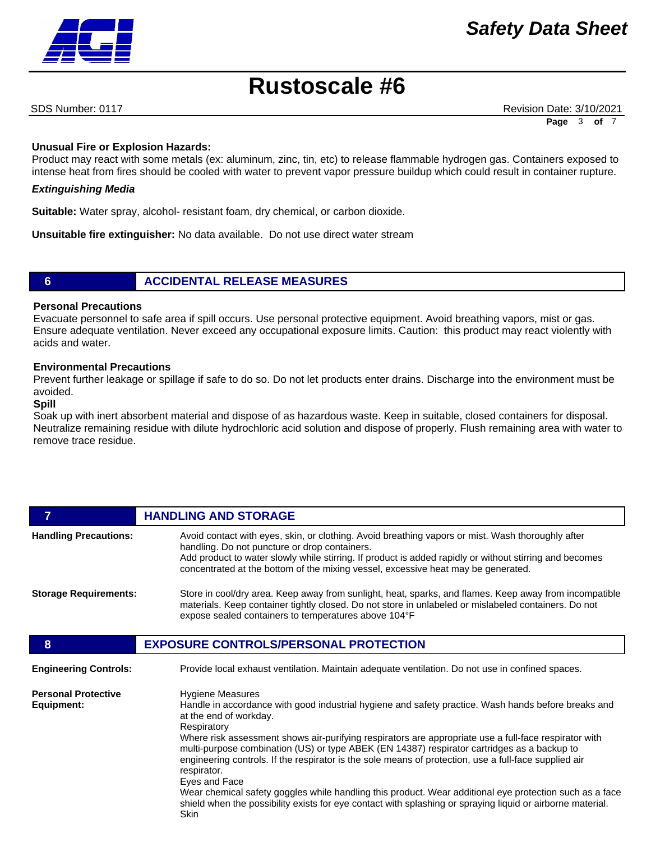SDS Number: 0117 Revision Date: 3/10/2021 **Page** 3 **of** 7

### **Unusual Fire or Explosion Hazards:**

Product may react with some metals (ex: aluminum, zinc, tin, etc) to release flammable hydrogen gas. Containers exposed to intense heat from fires should be cooled with water to prevent vapor pressure buildup which could result in container rupture.

#### *Extinguishing Media*

**Suitable:** Water spray, alcohol- resistant foam, dry chemical, or carbon dioxide.

**Unsuitable fire extinguisher:** No data available. Do not use direct water stream

## **6 ACCIDENTAL RELEASE MEASURES**

#### **Personal Precautions**

Evacuate personnel to safe area if spill occurs. Use personal protective equipment. Avoid breathing vapors, mist or gas. Ensure adequate ventilation. Never exceed any occupational exposure limits. Caution: this product may react violently with acids and water.

#### **Environmental Precautions**

Prevent further leakage or spillage if safe to do so. Do not let products enter drains. Discharge into the environment must be avoided.

#### **Spill**

Soak up with inert absorbent material and dispose of as hazardous waste. Keep in suitable, closed containers for disposal. Neutralize remaining residue with dilute hydrochloric acid solution and dispose of properly. Flush remaining area with water to remove trace residue.

| 7                                        | <b>HANDLING AND STORAGE</b>                                                                                                                                                                                                                                                                                                                                                                                                                                                                                                                                                                                                                                                                                                                                      |
|------------------------------------------|------------------------------------------------------------------------------------------------------------------------------------------------------------------------------------------------------------------------------------------------------------------------------------------------------------------------------------------------------------------------------------------------------------------------------------------------------------------------------------------------------------------------------------------------------------------------------------------------------------------------------------------------------------------------------------------------------------------------------------------------------------------|
| <b>Handling Precautions:</b>             | Avoid contact with eyes, skin, or clothing. Avoid breathing vapors or mist. Wash thoroughly after<br>handling. Do not puncture or drop containers.<br>Add product to water slowly while stirring. If product is added rapidly or without stirring and becomes<br>concentrated at the bottom of the mixing vessel, excessive heat may be generated.                                                                                                                                                                                                                                                                                                                                                                                                               |
| <b>Storage Requirements:</b>             | Store in cool/dry area. Keep away from sunlight, heat, sparks, and flames. Keep away from incompatible<br>materials. Keep container tightly closed. Do not store in unlabeled or mislabeled containers. Do not<br>expose sealed containers to temperatures above 104°F                                                                                                                                                                                                                                                                                                                                                                                                                                                                                           |
| 8                                        | <b>EXPOSURE CONTROLS/PERSONAL PROTECTION</b>                                                                                                                                                                                                                                                                                                                                                                                                                                                                                                                                                                                                                                                                                                                     |
| <b>Engineering Controls:</b>             | Provide local exhaust ventilation. Maintain adequate ventilation. Do not use in confined spaces.                                                                                                                                                                                                                                                                                                                                                                                                                                                                                                                                                                                                                                                                 |
| <b>Personal Protective</b><br>Equipment: | <b>Hygiene Measures</b><br>Handle in accordance with good industrial hygiene and safety practice. Wash hands before breaks and<br>at the end of workday.<br>Respiratory<br>Where risk assessment shows air-purifying respirators are appropriate use a full-face respirator with<br>multi-purpose combination (US) or type ABEK (EN 14387) respirator cartridges as a backup to<br>engineering controls. If the respirator is the sole means of protection, use a full-face supplied air<br>respirator.<br>Eyes and Face<br>Wear chemical safety goggles while handling this product. Wear additional eye protection such as a face<br>shield when the possibility exists for eye contact with splashing or spraying liquid or airborne material.<br><b>Skin</b> |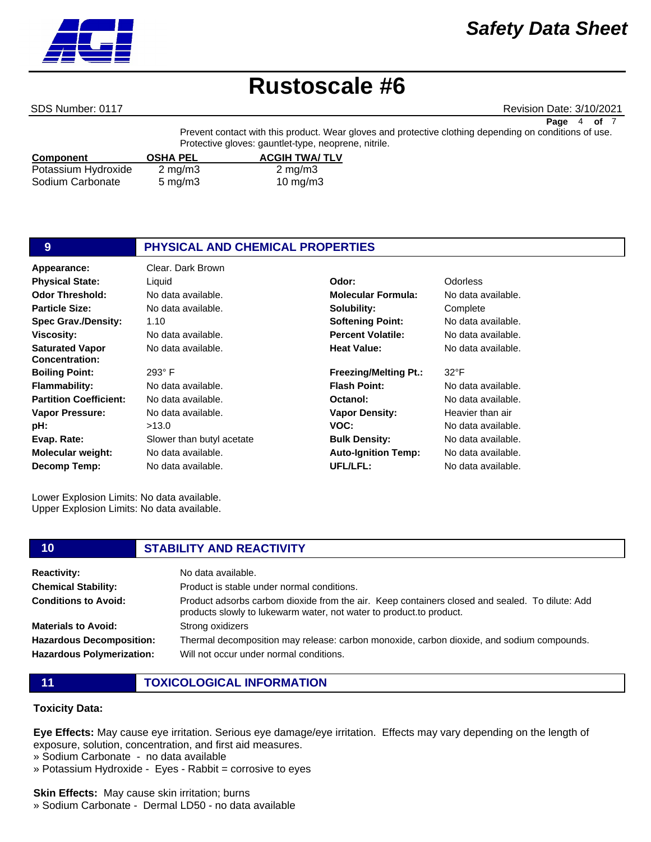

#### SDS Number: 0117 Revision Date: 3/10/2021

**Page** 4 **of** 7

Prevent contact with this product. Wear gloves and protective clothing depending on conditions of use. Protective gloves: gauntlet-type, neoprene, nitrile.

| <b>Component</b>    | <b>OSHA PEL</b>    | <b>ACGIH TWA/TLV</b> |  |
|---------------------|--------------------|----------------------|--|
| Potassium Hydroxide | $2 \text{ mg/m}$ 3 | $2 \text{ mg/m}$ 3   |  |
| Sodium Carbonate    | $5 \text{ mg/m}$   | 10 mg/m $3$          |  |

| 9                                               | PHYSICAL AND CHEMICAL PROPERTIES |                              |                    |
|-------------------------------------------------|----------------------------------|------------------------------|--------------------|
| Appearance:                                     | Clear. Dark Brown                |                              |                    |
| <b>Physical State:</b>                          | Liquid                           | Odor:                        | <b>Odorless</b>    |
| Odor Threshold:                                 | No data available.               | <b>Molecular Formula:</b>    | No data available. |
| <b>Particle Size:</b>                           | No data available.               | Solubility:                  | Complete           |
| <b>Spec Grav./Density:</b>                      | 1.10                             | <b>Softening Point:</b>      | No data available. |
| Viscosity:                                      | No data available.               | <b>Percent Volatile:</b>     | No data available. |
| <b>Saturated Vapor</b><br><b>Concentration:</b> | No data available.               | <b>Heat Value:</b>           | No data available. |
| <b>Boiling Point:</b>                           | $293^\circ$ F                    | <b>Freezing/Melting Pt.:</b> | $32^{\circ}F$      |
| Flammability:                                   | No data available.               | <b>Flash Point:</b>          | No data available. |
| <b>Partition Coefficient:</b>                   | No data available.               | Octanol:                     | No data available. |
| Vapor Pressure:                                 | No data available.               | <b>Vapor Density:</b>        | Heavier than air   |
| pH:                                             | >13.0                            | VOC:                         | No data available. |
| Evap. Rate:                                     | Slower than butyl acetate        | <b>Bulk Density:</b>         | No data available. |
| Molecular weight:                               | No data available.               | <b>Auto-Ignition Temp:</b>   | No data available. |
| Decomp Temp:                                    | No data available.               | UFL/LFL:                     | No data available. |

Lower Explosion Limits: No data available. Upper Explosion Limits: No data available.

#### **10 STABILITY AND REACTIVITY**

| <b>Reactivity:</b>                                                  | No data available.                                                                                                                                                    |
|---------------------------------------------------------------------|-----------------------------------------------------------------------------------------------------------------------------------------------------------------------|
| <b>Chemical Stability:</b>                                          | Product is stable under normal conditions.                                                                                                                            |
| <b>Conditions to Avoid:</b>                                         | Product adsorbs carbom dioxide from the air. Keep containers closed and sealed. To dilute: Add<br>products slowly to lukewarm water, not water to product.to product. |
| <b>Materials to Avoid:</b>                                          | Strong oxidizers                                                                                                                                                      |
| <b>Hazardous Decomposition:</b><br><b>Hazardous Polymerization:</b> | Thermal decomposition may release: carbon monoxide, carbon dioxide, and sodium compounds.<br>Will not occur under normal conditions.                                  |

**11 TOXICOLOGICAL INFORMATION**

### **Toxicity Data:**

**Eye Effects:** May cause eye irritation. Serious eye damage/eye irritation. Effects may vary depending on the length of exposure, solution, concentration, and first aid measures.

- » Sodium Carbonate no data available
- » Potassium Hydroxide Eyes Rabbit = corrosive to eyes

**Skin Effects:** May cause skin irritation; burns

» Sodium Carbonate - Dermal LD50 - no data available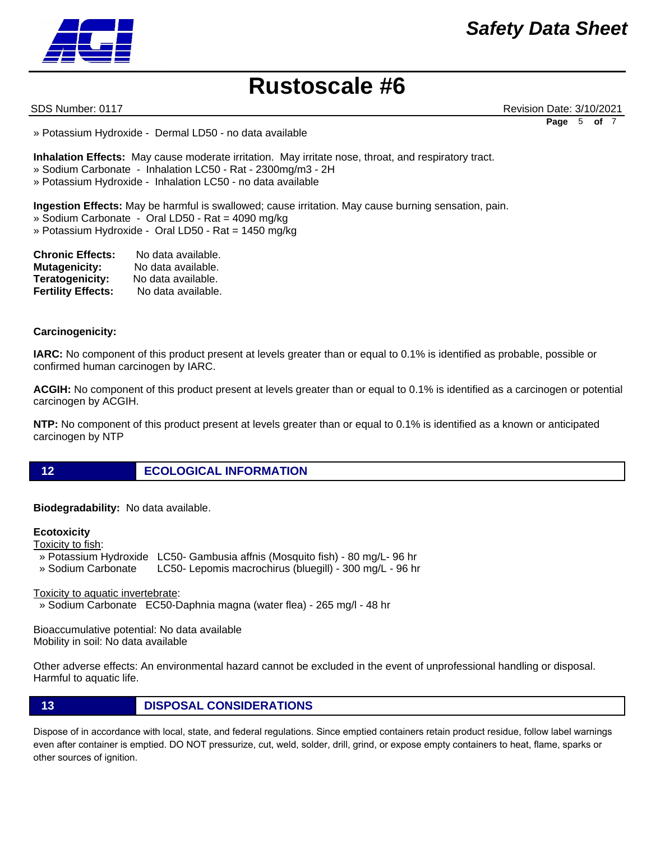SDS Number: 0117 Revision Date: 3/10/2021 **Page** 5 **of** 7

» Potassium Hydroxide - Dermal LD50 - no data available

**Inhalation Effects:** May cause moderate irritation. May irritate nose, throat, and respiratory tract.

» Sodium Carbonate - Inhalation LC50 - Rat - 2300mg/m3 - 2H

» Potassium Hydroxide - Inhalation LC50 - no data available

**Ingestion Effects:** May be harmful is swallowed; cause irritation. May cause burning sensation, pain.

- » Sodium Carbonate Oral LD50 Rat = 4090 mg/kg
- » Potassium Hydroxide Oral LD50 Rat = 1450 mg/kg

| <b>Chronic Effects:</b>   | No data available. |
|---------------------------|--------------------|
| <b>Mutagenicity:</b>      | No data available. |
| Teratogenicity:           | No data available. |
| <b>Fertility Effects:</b> | No data available. |

#### **Carcinogenicity:**

**IARC:** No component of this product present at levels greater than or equal to 0.1% is identified as probable, possible or confirmed human carcinogen by IARC.

**ACGIH:** No component of this product present at levels greater than or equal to 0.1% is identified as a carcinogen or potential carcinogen by ACGIH.

**NTP:** No component of this product present at levels greater than or equal to 0.1% is identified as a known or anticipated carcinogen by NTP

**12 ECOLOGICAL INFORMATION** 

**Biodegradability:** No data available.

#### **Ecotoxicity**

Toxicity to fish:

- » Potassium Hydroxide LC50- Gambusia affnis (Mosquito fish) 80 mg/L- 96 hr
- » Sodium Carbonate LC50- Lepomis macrochirus (bluegill) 300 mg/L 96 hr

Toxicity to aquatic invertebrate:

» Sodium Carbonate EC50-Daphnia magna (water flea) - 265 mg/l - 48 hr

Bioaccumulative potential: No data available Mobility in soil: No data available

Other adverse effects: An environmental hazard cannot be excluded in the event of unprofessional handling or disposal. Harmful to aquatic life.

## **13 DISPOSAL CONSIDERATIONS**

Dispose of in accordance with local, state, and federal regulations. Since emptied containers retain product residue, follow label warnings even after container is emptied. DO NOT pressurize, cut, weld, solder, drill, grind, or expose empty containers to heat, flame, sparks or other sources of ignition.

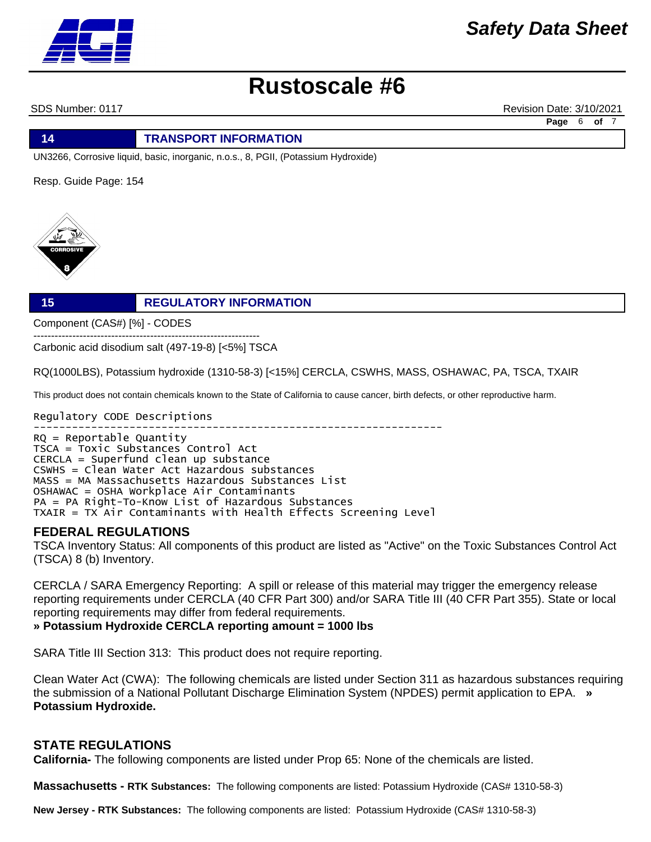SDS Number: 0117 Revision Date: 3/10/2021

**Page** 6 **of** 7

**14 TRANSPORT INFORMATION**

UN3266, Corrosive liquid, basic, inorganic, n.o.s., 8, PGII, (Potassium Hydroxide)

Resp. Guide Page: 154



# **15 REGULATORY INFORMATION**

Component (CAS#) [%] - CODES

---------------------------------------------------------------- Carbonic acid disodium salt (497-19-8) [<5%] TSCA

RQ(1000LBS), Potassium hydroxide (1310-58-3) [<15%] CERCLA, CSWHS, MASS, OSHAWAC, PA, TSCA, TXAIR

This product does not contain chemicals known to the State of California to cause cancer, birth defects, or other reproductive harm.

Regulatory CODE Descriptions ---------------------------------------------------------------- RQ = Reportable Quantity TSCA = Toxic Substances Control Act CERCLA = Superfund clean up substance CSWHS = Clean Water Act Hazardous substances MASS = MA Massachusetts Hazardous Substances List OSHAWAC = OSHA Workplace Air Contaminants PA = PA Right-To-Know List of Hazardous Substances TXAIR = TX Air Contaminants with Health Effects Screening Level

## **FEDERAL REGULATIONS**

TSCA Inventory Status: All components of this product are listed as "Active" on the Toxic Substances Control Act (TSCA) 8 (b) Inventory.

CERCLA / SARA Emergency Reporting: A spill or release of this material may trigger the emergency release reporting requirements under CERCLA (40 CFR Part 300) and/or SARA Title III (40 CFR Part 355). State or local reporting requirements may differ from federal requirements.

**» Potassium Hydroxide CERCLA reporting amount = 1000 lbs**

SARA Title III Section 313: This product does not require reporting.

Clean Water Act (CWA): The following chemicals are listed under Section 311 as hazardous substances requiring the submission of a National Pollutant Discharge Elimination System (NPDES) permit application to EPA. **» Potassium Hydroxide.**

## **STATE REGULATIONS**

**California-** The following components are listed under Prop 65: None of the chemicals are listed.

**Massachusetts - RTK Substances:** The following components are listed: Potassium Hydroxide (CAS# 1310-58-3)

**New Jersey - RTK Substances:** The following components are listed: Potassium Hydroxide (CAS# 1310-58-3)